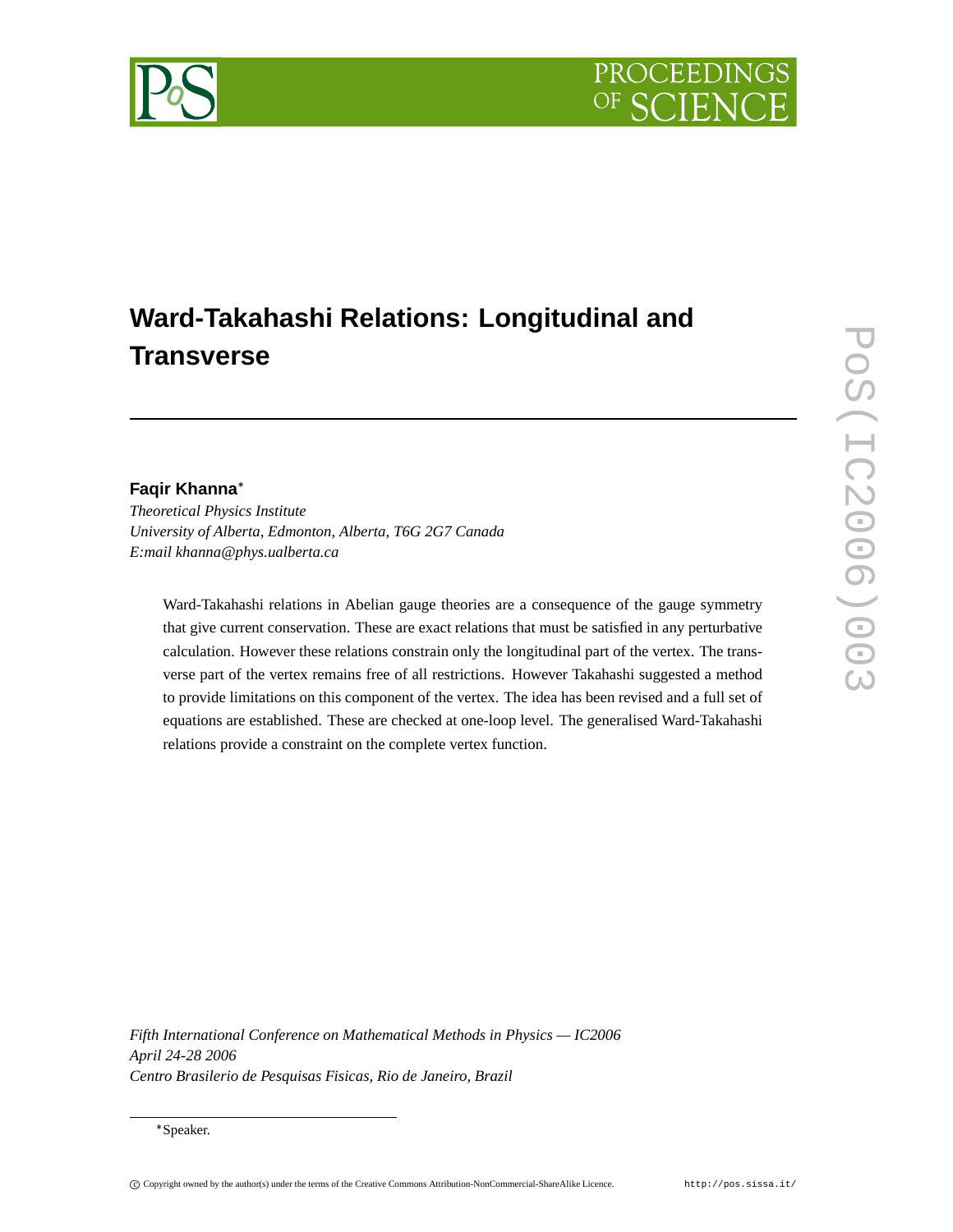# PROCEEDIN

# **Ward-Takahashi Relations: Longitudinal and Transverse**

# **Faqir Khanna**

*Theoretical Physics Institute University of Alberta, Edmonton, Alberta, T6G 2G7 Canada E:mail khanna@phys.ualberta.ca*

Ward-Takahashi relations in Abelian gauge theories are a consequence of the gauge symmetry that give current conservation. These are exact relations that must be satisfied in any perturbative calculation. However these relations constrain only the longitudinal part of the vertex. The transverse part of the vertex remains free of all restrictions. However Takahashi suggested a method to provide limitations on this component of the vertex. The idea has been revised and a full set of equations are established. These are checked at one-loop level. The generalised Ward-Takahashi relations provide a constraint on the complete vertex function.

*Fifth International Conference on Mathematical Methods in Physics — IC2006 April 24-28 2006 Centro Brasilerio de Pesquisas Fisicas, Rio de Janeiro, Brazil*



Speaker.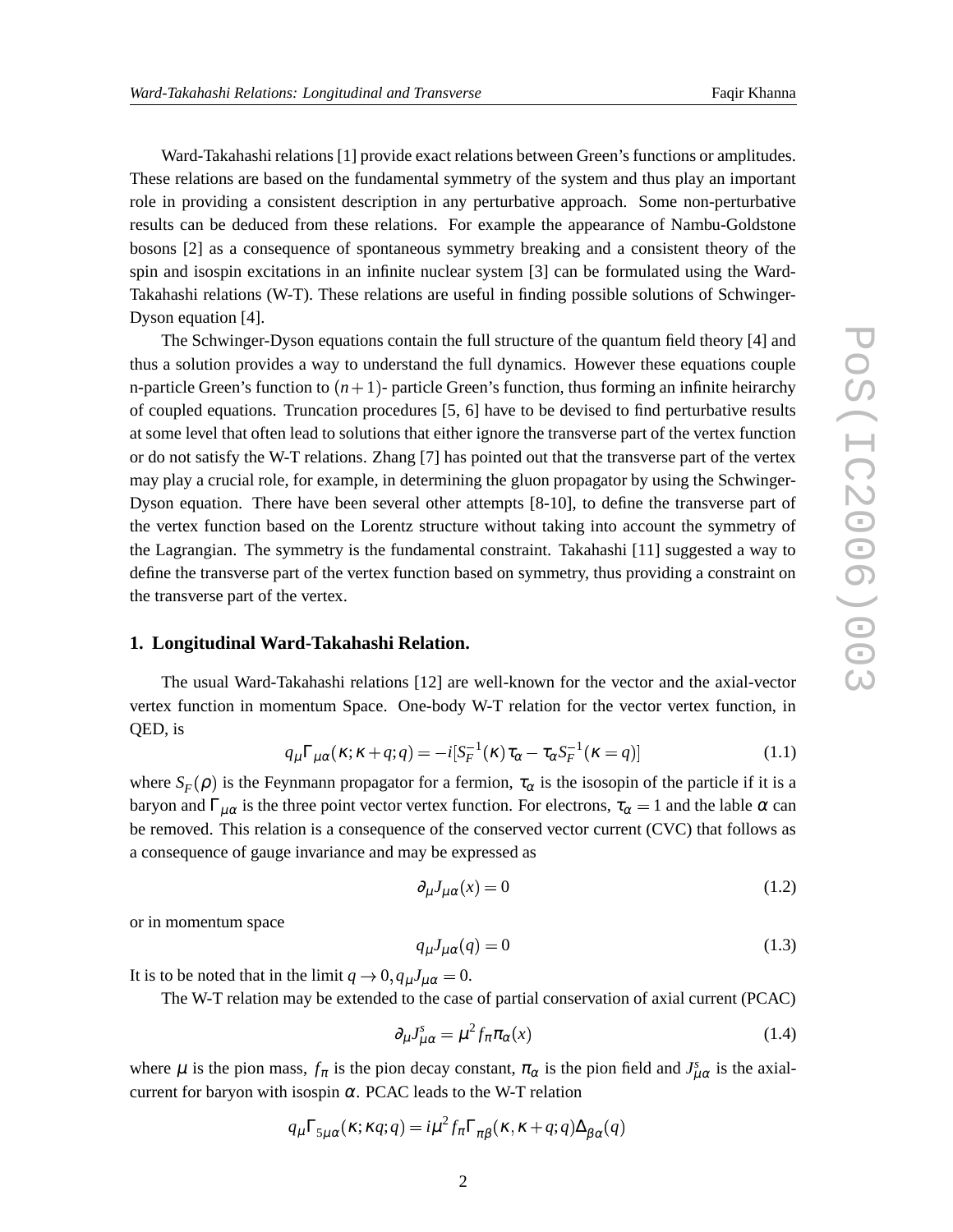Ward-Takahashi relations [1] provide exact relations between Green's functions or amplitudes. These relations are based on the fundamental symmetry of the system and thus play an important role in providing a consistent description in any perturbative approach. Some non-perturbative results can be deduced from these relations. For example the appearance of Nambu-Goldstone bosons [2] as a consequence of spontaneous symmetry breaking and a consistent theory of the spin and isospin excitations in an infinite nuclear system [3] can be formulated using the Ward-Takahashi relations (W-T). These relations are useful in finding possible solutions of Schwinger-Dyson equation [4].

The Schwinger-Dyson equations contain the full structure of the quantum field theory [4] and thus a solution provides a way to understand the full dynamics. However these equations couple n-particle Green's function to  $(n + 1)$ - particle Green's function, thus forming an infinite heirarchy of coupled equations. Truncation procedures [5, 6] have to be devised to find perturbative results at some level that often lead to solutions that either ignore the transverse part of the vertex function or do not satisfy the W-T relations. Zhang [7] has pointed out that the transverse part of the vertex may play a crucial role, for example, in determining the gluon propagator by using the Schwinger-Dyson equation. There have been several other attempts [8-10], to define the transverse part of the vertex function based on the Lorentz structure without taking into account the symmetry of the Lagrangian. The symmetry is the fundamental constraint. Takahashi [11] suggested a way to define the transverse part of the vertex function based on symmetry, thus providing a constraint on the transverse part of the vertex.

#### **1. Longitudinal Ward-Takahashi Relation.**

The usual Ward-Takahashi relations [12] are well-known for the vector and the axial-vector vertex function in momentum Space. One-body W-T relation for the vector vertex function, in QED, is

$$
q_{\mu}\Gamma_{\mu\alpha}(\kappa;\kappa+q;q) = -i[S_{F}^{-1}(\kappa)\tau_{\alpha} - \tau_{\alpha}S_{F}^{-1}(\kappa=q)] \qquad (1.1)
$$

where  $S_F(\rho)$  is the Feynmann propagator for a fermion,  $\tau_\alpha$  is the isosopin of the particle if it is a baryon and  $\Gamma_{\mu\alpha}$  is the three point vector vertex function. For electrons,  $\tau_{\alpha} = 1$  and the lable  $\alpha$  can be removed. This relation is a consequence of the conserved vector current (CVC) that follows as a consequence of gauge invariance and may be expressed as

$$
\partial_{\mu}J_{\mu\alpha}(x) = 0 \tag{1.2}
$$

or in momentum space

$$
q_{\mu}J_{\mu\alpha}(q) = 0 \tag{1.3}
$$

It is to be noted that in the limit  $q \to 0$ ,  $q_\mu J_{\mu\alpha} = 0$ .

The W-T relation may be extended to the case of partial conservation of axial current (PCAC)

$$
\partial_{\mu} J_{\mu\alpha}^{s} = \mu^{2} f_{\pi} \pi_{\alpha}(x) \tag{1.4}
$$

where  $\mu$  is the pion mass,  $f_{\pi}$  is the pion decay constant,  $\pi_{\alpha}$  is the pion field and  $J_{\mu\alpha}^{s}$  is the axialcurrent for baryon with isospin  $\alpha$ . PCAC leads to the W-T relation

$$
q_{\mu} \Gamma_{5\mu\alpha}(\kappa; \kappa q; q) = i\mu^2 f_{\pi} \Gamma_{\pi\beta}(\kappa, \kappa + q; q) \Delta_{\beta\alpha}(q)
$$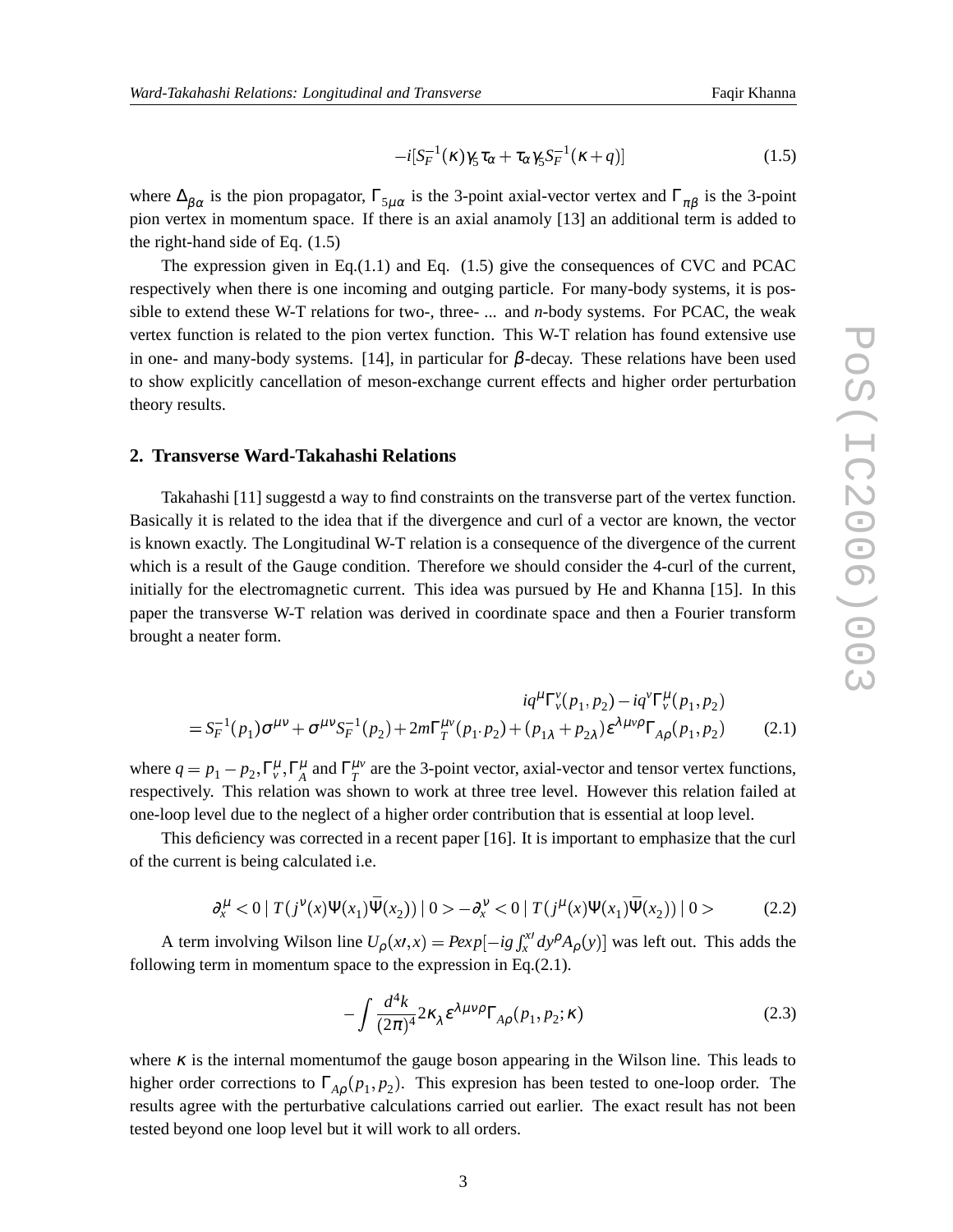$$
-i[S_F^{-1}(\kappa)\gamma_5\tau_\alpha+\tau_\alpha\gamma_5S_F^{-1}(\kappa+q)]\tag{1.5}
$$

where  $\Delta_{\beta\alpha}$  is the pion propagator,  $\Gamma_{5\mu\alpha}$  is the 3-point axial-vector vertex and  $\Gamma_{\pi\beta}$  is the 3-point pion vertex in momentum space. If there is an axial anamoly [13] an additional term is added to the right-hand side of Eq. (1.5)

The expression given in Eq.(1.1) and Eq.  $(1.5)$  give the consequences of CVC and PCAC respectively when there is one incoming and outging particle. For many-body systems, it is possible to extend these W-T relations for two-, three- ... and *n*-body systems. For PCAC, the weak vertex function is related to the pion vertex function. This W-T relation has found extensive use in one- and many-body systems. [14], in particular for  $\beta$ -decay. These relations have been used to show explicitly cancellation of meson-exchange current effects and higher order perturbation theory results.

#### **2. Transverse Ward-Takahashi Relations**

Takahashi [11] suggestd a way to find constraints on the transverse part of the vertex function. Basically it is related to the idea that if the divergence and curl of a vector are known, the vector is known exactly. The Longitudinal W-T relation is a consequence of the divergence of the current which is a result of the Gauge condition. Therefore we should consider the 4-curl of the current, initially for the electromagnetic current. This idea was pursued by He and Khanna [15]. In this paper the transverse W-T relation was derived in coordinate space and then a Fourier transform brought a neater form.

$$
iq^{\mu} \Gamma_{\nu}^{\nu}(p_1, p_2) - iq^{\nu} \Gamma_{\nu}^{\mu}(p_1, p_2)
$$
  
=  $S_F^{-1}(p_1)\sigma^{\mu\nu} + \sigma^{\mu\nu} S_F^{-1}(p_2) + 2m\Gamma_T^{\mu\nu}(p_1, p_2) + (p_{1\lambda} + p_{2\lambda})\epsilon^{\lambda\mu\nu\rho} \Gamma_{A\rho}(p_1, p_2)$  (2.1)

where  $q = p_1 - p_2, \Gamma_v^{\mu}, \Gamma_A^{\mu}$  and  $\Gamma_T^{\mu\nu}$  $T_T^{\mu\nu}$  are the 3-point vector, axial-vector and tensor vertex functions, respectively. This relation was shown to work at three tree level. However this relation failed at one-loop level due to the neglect of a higher order contribution that is essential at loop level.

This deficiency was corrected in a recent paper [16]. It is important to emphasize that the curl of the current is being calculated i.e.

$$
\partial_x^{\mu} < 0 \mid T(j^{\nu}(x)\Psi(x_1)\bar{\Psi}(x_2)) \mid 0 > -\partial_x^{\nu} < 0 \mid T(j^{\mu}(x)\Psi(x_1)\bar{\Psi}(x_2)) \mid 0 > \tag{2.2}
$$

A term involving Wilson line  $U_{\rho}(x,t,x) = P \exp[-ig \int_x^x dy^{\rho} A_{\rho}(y)]$  $\int_{x}^{x} dy^{\rho} A_{\rho}(y)$  was left out. This adds the following term in momentum space to the expression in Eq.(2.1).

$$
-\int \frac{d^4k}{(2\pi)^4} 2\kappa_\lambda \varepsilon^{\lambda\mu\nu\rho} \Gamma_{A\rho}(p_1, p_2; \kappa) \tag{2.3}
$$

where  $\kappa$  is the internal momentumof the gauge boson appearing in the Wilson line. This leads to higher order corrections to  $\Gamma_{A\rho}(p_1, p_2)$ . This expresion has been tested to one-loop order. The results agree with the perturbative calculations carried out earlier. The exact result has not been tested beyond one loop level but it will work to all orders.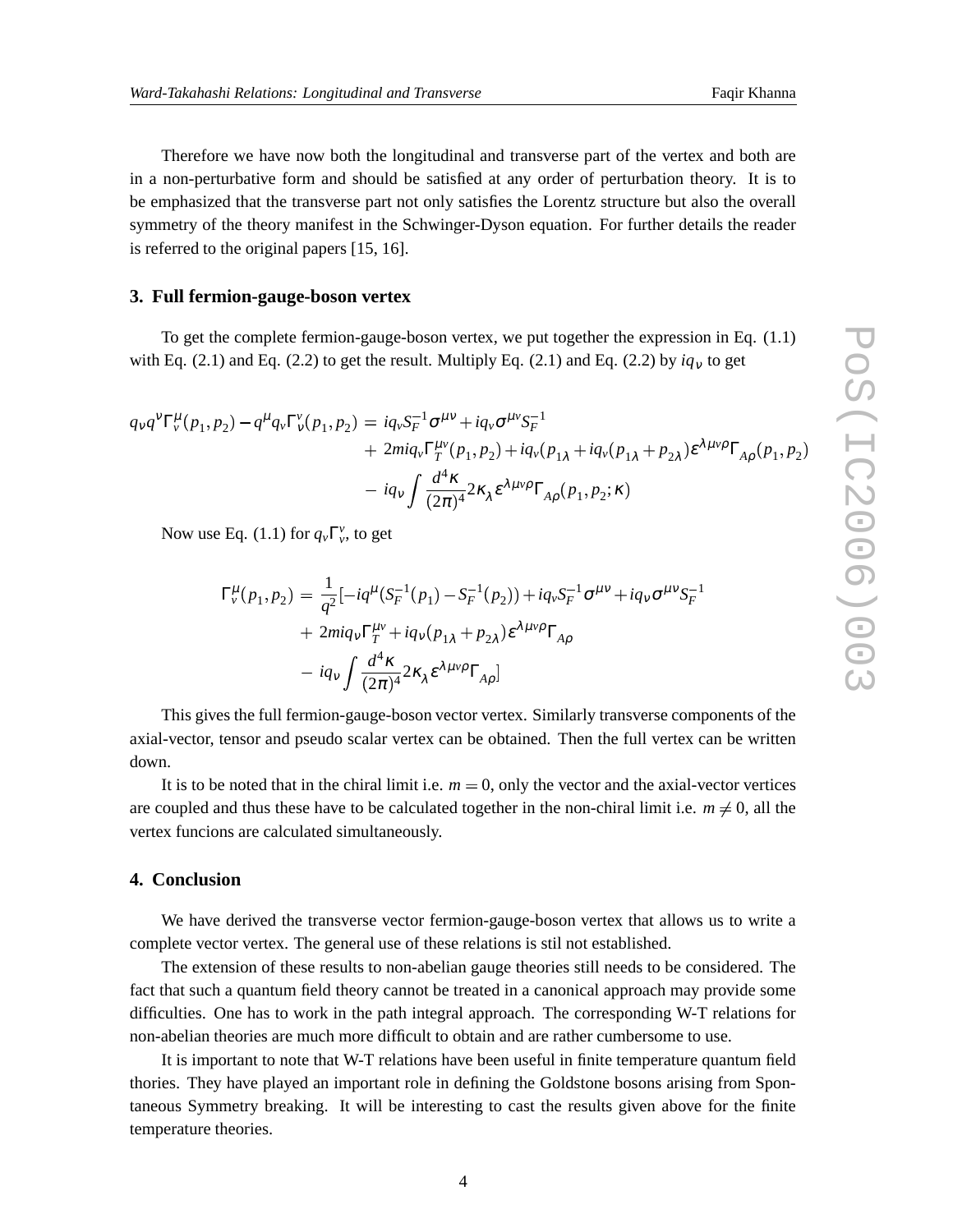Therefore we have now both the longitudinal and transverse part of the vertex and both are in a non-perturbative form and should be satisfied at any order of perturbation theory. It is to be emphasized that the transverse part not only satisfies the Lorentz structure but also the overall symmetry of the theory manifest in the Schwinger-Dyson equation. For further details the reader is referred to the original papers [15, 16].

#### **3. Full fermion-gauge-boson vertex**

To get the complete fermion-gauge-boson vertex, we put together the expression in Eq. (1.1) with Eq. (2.1) and Eq. (2.2) to get the result. Multiply Eq. (2.1) and Eq. (2.2) by  $iq<sub>v</sub>$  to get

$$
q_{\nu}q^{\nu}\Gamma_{\nu}^{\mu}(p_1, p_2) - q^{\mu}q_{\nu}\Gamma_{\nu}^{\nu}(p_1, p_2) = iq_{\nu}S_{F}^{-1}\sigma^{\mu\nu} + iq_{\nu}\sigma^{\mu\nu}S_{F}^{-1}
$$
  
+  $2miq_{\nu}\Gamma_{T}^{\mu\nu}(p_1, p_2) + iq_{\nu}(p_{1\lambda} + iq_{\nu}(p_{1\lambda} + p_{2\lambda})\epsilon^{\lambda\mu\nu\rho}\Gamma_{A\rho}(p_1, p_2)$   
-  $iq_{\nu}\int \frac{d^4\kappa}{(2\pi)^4} 2\kappa_{\lambda}\epsilon^{\lambda\mu\nu\rho}\Gamma_{A\rho}(p_1, p_2; \kappa)$ 

Now use Eq. (1.1) for  $q_\nu \Gamma_\nu^\nu$ , to get

$$
\Gamma_{\nu}^{\mu}(p_1, p_2) = \frac{1}{q^2} \left[ -iq^{\mu} (S_F^{-1}(p_1) - S_F^{-1}(p_2)) + iq_{\nu} S_F^{-1} \sigma^{\mu \nu} + iq_{\nu} \sigma^{\mu \nu} S_F^{-1} \right. \\
\left. + 2miq_{\nu} \Gamma_T^{\mu \nu} + iq_{\nu} (p_{1\lambda} + p_{2\lambda}) \varepsilon^{\lambda \mu \nu \rho} \Gamma_{A\rho} \right. \\
\left. - iq_{\nu} \int \frac{d^4 \kappa}{(2\pi)^4} 2\kappa_{\lambda} \varepsilon^{\lambda \mu \nu \rho} \Gamma_{A\rho} \right]
$$

This gives the full fermion-gauge-boson vector vertex. Similarly transverse components of the axial-vector, tensor and pseudo scalar vertex can be obtained. Then the full vertex can be written down.

It is to be noted that in the chiral limit i.e.  $m = 0$ , only the vector and the axial-vector vertices are coupled and thus these have to be calculated together in the non-chiral limit i.e.  $m \neq 0$ , all the vertex funcions are calculated simultaneously.

### **4. Conclusion**

We have derived the transverse vector fermion-gauge-boson vertex that allows us to write a complete vector vertex. The general use of these relations is stil not established.

The extension of these results to non-abelian gauge theories still needs to be considered. The fact that such a quantum field theory cannot be treated in a canonical approach may provide some difficulties. One has to work in the path integral approach. The corresponding W-T relations for non-abelian theories are much more difficult to obtain and are rather cumbersome to use.

It is important to note that W-T relations have been useful in finite temperature quantum field thories. They have played an important role in defining the Goldstone bosons arising from Spontaneous Symmetry breaking. It will be interesting to cast the results given above for the finite temperature theories.